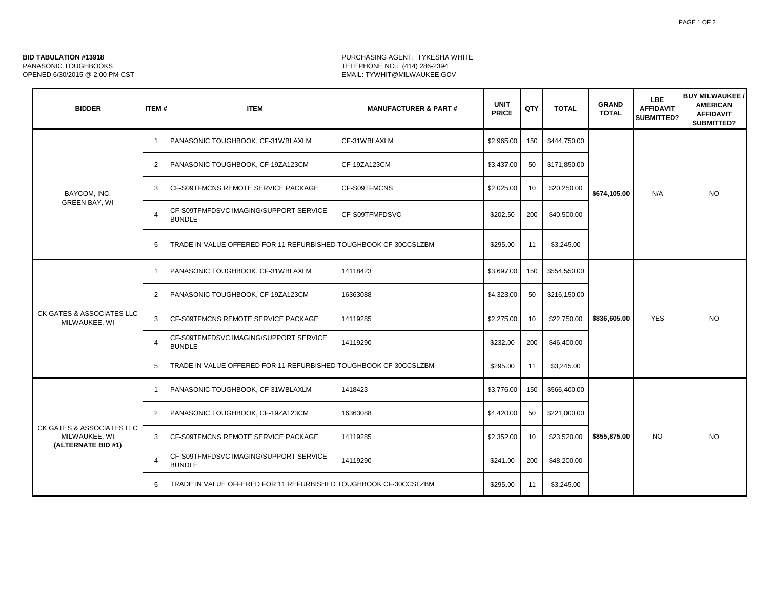## **BID TABULATION #13918 BID TABULATION #13918 PURCHASING AGENT: TYKESHA WHITE** PANASONIC TOUGHBOOKS TELEPHONE NO.: (414) 286-2394 EMAIL: TYWHIT@MILWAUKEE.GOV

| <b>BIDDER</b>                                                    | <b>ITEM#</b>   | <b>ITEM</b>                                                      | <b>MANUFACTURER &amp; PART#</b> | <b>UNIT</b><br><b>PRICE</b> | QTY | <b>TOTAL</b> | <b>GRAND</b><br><b>TOTAL</b> | <b>LBE</b><br><b>AFFIDAVIT</b><br>SUBMITTED? | <b>BUY MILWAUKEE /</b><br><b>AMERICAN</b><br><b>AFFIDAVIT</b><br><b>SUBMITTED?</b> |
|------------------------------------------------------------------|----------------|------------------------------------------------------------------|---------------------------------|-----------------------------|-----|--------------|------------------------------|----------------------------------------------|------------------------------------------------------------------------------------|
| BAYCOM, INC.<br><b>GREEN BAY, WI</b>                             | $\overline{1}$ | PANASONIC TOUGHBOOK, CF-31WBLAXLM                                | CF-31WBLAXLM                    | \$2,965.00                  | 150 | \$444,750.00 | \$674,105.00                 | N/A                                          | <b>NO</b>                                                                          |
|                                                                  | $\overline{2}$ | PANASONIC TOUGHBOOK, CF-19ZA123CM                                | CF-19ZA123CM                    | \$3,437.00                  | 50  | \$171,850.00 |                              |                                              |                                                                                    |
|                                                                  | 3              | CF-S09TFMCNS REMOTE SERVICE PACKAGE                              | CF-S09TFMCNS                    | \$2,025.00                  | 10  | \$20,250.00  |                              |                                              |                                                                                    |
|                                                                  | 4              | CF-S09TFMFDSVC IMAGING/SUPPORT SERVICE<br><b>BUNDLE</b>          | CF-S09TFMFDSVC                  | \$202.50                    | 200 | \$40,500.00  |                              |                                              |                                                                                    |
|                                                                  | 5              | TRADE IN VALUE OFFERED FOR 11 REFURBISHED TOUGHBOOK CF-30CCSLZBM |                                 | \$295.00                    | 11  | \$3,245.00   |                              |                                              |                                                                                    |
| CK GATES & ASSOCIATES LLC<br>MILWAUKEE, WI                       | $\mathbf{1}$   | PANASONIC TOUGHBOOK, CF-31WBLAXLM                                | 14118423                        | \$3,697.00                  | 150 | \$554,550.00 | \$836,605.00                 | <b>YES</b>                                   | <b>NO</b>                                                                          |
|                                                                  | $\overline{2}$ | PANASONIC TOUGHBOOK, CF-19ZA123CM                                | 16363088                        | \$4,323.00                  | 50  | \$216,150.00 |                              |                                              |                                                                                    |
|                                                                  | 3              | CF-S09TFMCNS REMOTE SERVICE PACKAGE                              | 14119285                        | \$2,275.00                  | 10  | \$22,750.00  |                              |                                              |                                                                                    |
|                                                                  | $\overline{4}$ | CF-S09TFMFDSVC IMAGING/SUPPORT SERVICE<br><b>BUNDLE</b>          | 14119290                        | \$232.00                    | 200 | \$46,400.00  |                              |                                              |                                                                                    |
|                                                                  | 5              | TRADE IN VALUE OFFERED FOR 11 REFURBISHED TOUGHBOOK CF-30CCSLZBM |                                 | \$295.00                    | 11  | \$3,245.00   |                              |                                              |                                                                                    |
| CK GATES & ASSOCIATES LLC<br>MILWAUKEE, WI<br>(ALTERNATE BID #1) | $\overline{1}$ | PANASONIC TOUGHBOOK, CF-31WBLAXLM                                | 1418423                         | \$3,776.00                  | 150 | \$566,400.00 | \$855,875.00                 | <b>NO</b>                                    | <b>NO</b>                                                                          |
|                                                                  | $\overline{2}$ | PANASONIC TOUGHBOOK, CF-19ZA123CM                                | 16363088                        | \$4,420.00                  | 50  | \$221,000.00 |                              |                                              |                                                                                    |
|                                                                  | 3              | CF-S09TFMCNS REMOTE SERVICE PACKAGE                              | 14119285                        | \$2,352.00                  | 10  | \$23,520.00  |                              |                                              |                                                                                    |
|                                                                  | $\overline{4}$ | CF-S09TFMFDSVC IMAGING/SUPPORT SERVICE<br><b>BUNDLE</b>          | 14119290                        | \$241.00                    | 200 | \$48,200.00  |                              |                                              |                                                                                    |
|                                                                  | 5              | TRADE IN VALUE OFFERED FOR 11 REFURBISHED TOUGHBOOK CF-30CCSLZBM |                                 | \$295.00                    | 11  | \$3,245.00   |                              |                                              |                                                                                    |